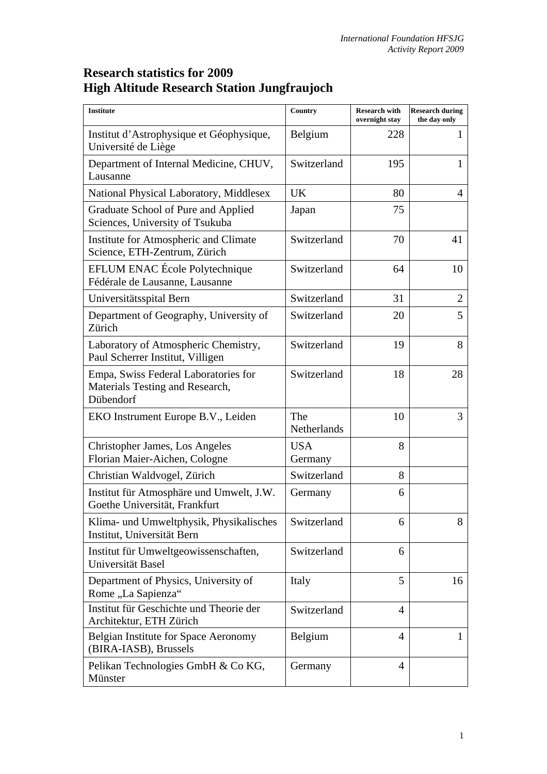## **Research statistics for 2009 High Altitude Research Station Jungfraujoch**

| <b>Institute</b>                                                                     | Country               | <b>Research with</b><br>overnight stay | <b>Research during</b><br>the day only |
|--------------------------------------------------------------------------------------|-----------------------|----------------------------------------|----------------------------------------|
| Institut d'Astrophysique et Géophysique,<br>Université de Liège                      | Belgium               | 228                                    |                                        |
| Department of Internal Medicine, CHUV,<br>Lausanne                                   | Switzerland           | 195                                    | 1                                      |
| National Physical Laboratory, Middlesex                                              | <b>UK</b>             | 80                                     | $\overline{4}$                         |
| Graduate School of Pure and Applied<br>Sciences, University of Tsukuba               | Japan                 | 75                                     |                                        |
| Institute for Atmospheric and Climate<br>Science, ETH-Zentrum, Zürich                | Switzerland           | 70                                     | 41                                     |
| EFLUM ENAC École Polytechnique<br>Fédérale de Lausanne, Lausanne                     | Switzerland           | 64                                     | 10                                     |
| Universitätsspital Bern                                                              | Switzerland           | 31                                     | $\overline{2}$                         |
| Department of Geography, University of<br>Zürich                                     | Switzerland           | 20                                     | 5                                      |
| Laboratory of Atmospheric Chemistry,<br>Paul Scherrer Institut, Villigen             | Switzerland           | 19                                     | 8                                      |
| Empa, Swiss Federal Laboratories for<br>Materials Testing and Research,<br>Dübendorf | Switzerland           | 18                                     | 28                                     |
| EKO Instrument Europe B.V., Leiden                                                   | The<br>Netherlands    | 10                                     | 3                                      |
| Christopher James, Los Angeles<br>Florian Maier-Aichen, Cologne                      | <b>USA</b><br>Germany | 8                                      |                                        |
| Christian Waldvogel, Zürich                                                          | Switzerland           | 8                                      |                                        |
| Institut für Atmosphäre und Umwelt, J.W.<br>Goethe Universität, Frankfurt            | Germany               | 6                                      |                                        |
| Klima- und Umweltphysik, Physikalisches<br>Institut, Universität Bern                | Switzerland           | 6                                      | 8                                      |
| Institut für Umweltgeowissenschaften,<br>Universität Basel                           | Switzerland           | 6                                      |                                        |
| Department of Physics, University of<br>Rome "La Sapienza"                           | Italy                 | 5                                      | 16                                     |
| Institut für Geschichte und Theorie der<br>Architektur, ETH Zürich                   | Switzerland           | 4                                      |                                        |
| Belgian Institute for Space Aeronomy<br>(BIRA-IASB), Brussels                        | Belgium               | $\overline{4}$                         | 1                                      |
| Pelikan Technologies GmbH & Co KG,<br>Münster                                        | Germany               | $\overline{4}$                         |                                        |